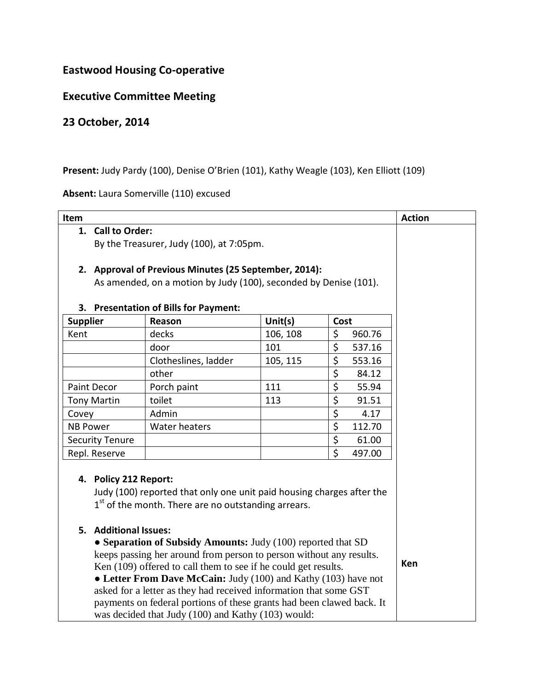# **Eastwood Housing Co-operative**

### **Executive Committee Meeting**

## **23 October, 2014**

#### Present: Judy Pardy (100), Denise O'Brien (101), Kathy Weagle (103), Ken Elliott (109)

#### **Absent:** Laura Somerville (110) excused

| Item                                                                                                                        |                      |          |                        |        | <b>Action</b> |  |
|-----------------------------------------------------------------------------------------------------------------------------|----------------------|----------|------------------------|--------|---------------|--|
| 1. Call to Order:                                                                                                           |                      |          |                        |        |               |  |
| By the Treasurer, Judy (100), at 7:05pm.                                                                                    |                      |          |                        |        |               |  |
|                                                                                                                             |                      |          |                        |        |               |  |
| 2. Approval of Previous Minutes (25 September, 2014):                                                                       |                      |          |                        |        |               |  |
| As amended, on a motion by Judy (100), seconded by Denise (101).                                                            |                      |          |                        |        |               |  |
|                                                                                                                             |                      |          |                        |        |               |  |
| <b>Presentation of Bills for Payment:</b><br>3.                                                                             |                      |          |                        |        |               |  |
| <b>Supplier</b>                                                                                                             | Reason               | Unit(s)  | Cost                   |        |               |  |
| Kent                                                                                                                        | decks                | 106, 108 | \$                     | 960.76 |               |  |
|                                                                                                                             | door                 | 101      | \$                     | 537.16 |               |  |
|                                                                                                                             | Clotheslines, ladder | 105, 115 | \$                     | 553.16 |               |  |
|                                                                                                                             | other                |          | \$                     | 84.12  |               |  |
| Paint Decor                                                                                                                 | Porch paint          | 111      | \$                     | 55.94  |               |  |
| <b>Tony Martin</b>                                                                                                          | toilet               | 113      | \$                     | 91.51  |               |  |
| Covey                                                                                                                       | Admin                |          | \$                     | 4.17   |               |  |
| <b>NB Power</b>                                                                                                             | <b>Water heaters</b> |          | \$                     | 112.70 |               |  |
| <b>Security Tenure</b>                                                                                                      |                      |          | $\overline{\varsigma}$ | 61.00  |               |  |
| Repl. Reserve                                                                                                               |                      |          | \$                     | 497.00 |               |  |
| 4. Policy 212 Report:<br>Judy (100) reported that only one unit paid housing charges after the                              |                      |          |                        |        |               |  |
| $1st$ of the month. There are no outstanding arrears.                                                                       |                      |          |                        |        |               |  |
|                                                                                                                             |                      |          |                        |        |               |  |
| 5. Additional Issues:                                                                                                       |                      |          |                        |        |               |  |
| • Separation of Subsidy Amounts: Judy (100) reported that SD                                                                |                      |          |                        |        |               |  |
| keeps passing her around from person to person without any results.                                                         |                      |          |                        |        |               |  |
| Ken (109) offered to call them to see if he could get results.                                                              |                      |          |                        |        | Ken           |  |
| • Letter From Dave McCain: Judy (100) and Kathy (103) have not                                                              |                      |          |                        |        |               |  |
| asked for a letter as they had received information that some GST                                                           |                      |          |                        |        |               |  |
| payments on federal portions of these grants had been clawed back. It<br>was decided that Judy (100) and Kathy (103) would: |                      |          |                        |        |               |  |
|                                                                                                                             |                      |          |                        |        |               |  |